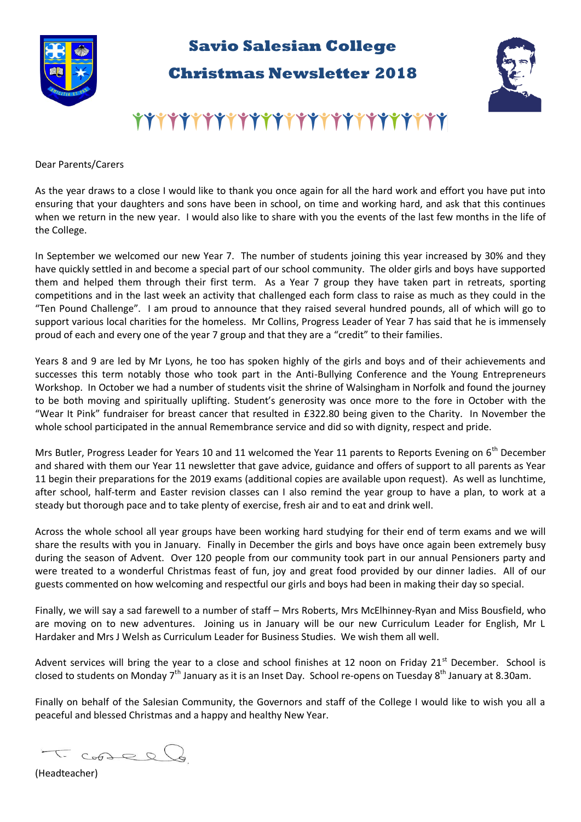

## **Savio Salesian College**

**Christmas Newsletter 2018** 



## 777777777777777777777777777

Dear Parents/Carers

As the year draws to a close I would like to thank you once again for all the hard work and effort you have put into ensuring that your daughters and sons have been in school, on time and working hard, and ask that this continues when we return in the new year. I would also like to share with you the events of the last few months in the life of the College.

In September we welcomed our new Year 7. The number of students joining this year increased by 30% and they have quickly settled in and become a special part of our school community. The older girls and boys have supported them and helped them through their first term. As a Year 7 group they have taken part in retreats, sporting competitions and in the last week an activity that challenged each form class to raise as much as they could in the "Ten Pound Challenge". I am proud to announce that they raised several hundred pounds, all of which will go to support various local charities for the homeless. Mr Collins, Progress Leader of Year 7 has said that he is immensely proud of each and every one of the year 7 group and that they are a "credit" to their families.

Years 8 and 9 are led by Mr Lyons, he too has spoken highly of the girls and boys and of their achievements and successes this term notably those who took part in the Anti-Bullying Conference and the Young Entrepreneurs Workshop. In October we had a number of students visit the shrine of Walsingham in Norfolk and found the journey to be both moving and spiritually uplifting. Student's generosity was once more to the fore in October with the "Wear It Pink" fundraiser for breast cancer that resulted in £322.80 being given to the Charity. In November the whole school participated in the annual Remembrance service and did so with dignity, respect and pride.

Mrs Butler, Progress Leader for Years 10 and 11 welcomed the Year 11 parents to Reports Evening on 6<sup>th</sup> December and shared with them our Year 11 newsletter that gave advice, guidance and offers of support to all parents as Year 11 begin their preparations for the 2019 exams (additional copies are available upon request). As well as lunchtime, after school, half-term and Easter revision classes can I also remind the year group to have a plan, to work at a steady but thorough pace and to take plenty of exercise, fresh air and to eat and drink well.

Across the whole school all year groups have been working hard studying for their end of term exams and we will share the results with you in January. Finally in December the girls and boys have once again been extremely busy during the season of Advent. Over 120 people from our community took part in our annual Pensioners party and were treated to a wonderful Christmas feast of fun, joy and great food provided by our dinner ladies. All of our guests commented on how welcoming and respectful our girls and boys had been in making their day so special.

Finally, we will say a sad farewell to a number of staff – Mrs Roberts, Mrs McElhinney-Ryan and Miss Bousfield, who are moving on to new adventures. Joining us in January will be our new Curriculum Leader for English, Mr L Hardaker and Mrs J Welsh as Curriculum Leader for Business Studies. We wish them all well.

Advent services will bring the year to a close and school finishes at 12 noon on Friday 21st December. School is closed to students on Monday 7<sup>th</sup> January as it is an Inset Day. School re-opens on Tuesday 8<sup>th</sup> January at 8.30am.

Finally on behalf of the Salesian Community, the Governors and staff of the College I would like to wish you all a peaceful and blessed Christmas and a happy and healthy New Year.

 $G_{0}$ 

(Headteacher)